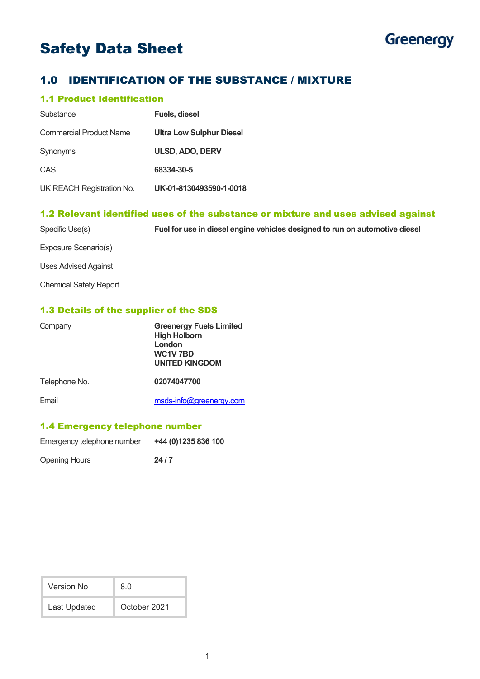# Safety Data Sheet



# 1.0 IDENTIFICATION OF THE SUBSTANCE / MIXTURE

# 1.1 Product Identification

| Substance                      | <b>Fuels, diesel</b>            |
|--------------------------------|---------------------------------|
| <b>Commercial Product Name</b> | <b>Ultra Low Sulphur Diesel</b> |
| Synonyms                       | <b>ULSD, ADO, DERV</b>          |
| CAS                            | 68334-30-5                      |
| UK REACH Registration No.      | UK-01-8130493590-1-0018         |

# 1.2 Relevant identified uses of the substance or mixture and uses advised against

| Specific Use(s)               | Fuel for use in diesel engine vehicles designed to run on automotive diesel |
|-------------------------------|-----------------------------------------------------------------------------|
| Exposure Scenario(s)          |                                                                             |
| Uses Advised Against          |                                                                             |
| <b>Chemical Safety Report</b> |                                                                             |

# 1.3 Details of the supplier of the SDS

| Company       | <b>Greenergy Fuels Limited</b><br><b>High Holborn</b><br>London<br>WC1V7BD<br><b>UNITED KINGDOM</b> |
|---------------|-----------------------------------------------------------------------------------------------------|
| Telephone No. | 02074047700                                                                                         |
| Email         | msds-info@greenergy.com                                                                             |

## 1.4 Emergency telephone number

| Emergency telephone number | +44 (0)1235 836 100 |
|----------------------------|---------------------|
| Opening Hours              | 24/7                |

| Version No   | 8.0          |
|--------------|--------------|
| Last Updated | October 2021 |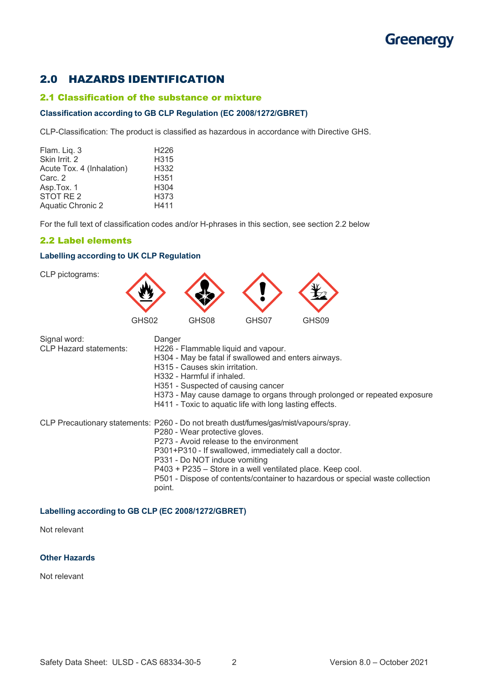# 2.0 HAZARDS IDENTIFICATION

#### 2.1 Classification of the substance or mixture

#### **Classification according to GB CLP Regulation (EC 2008/1272/GBRET)**

CLP-Classification: The product is classified as hazardous in accordance with Directive GHS.

| Flam. Liq. 3              | H <sub>226</sub> |
|---------------------------|------------------|
| Skin Irrit. 2             | H315             |
| Acute Tox. 4 (Inhalation) | H332             |
| Carc. 2                   | H351             |
| Asp.Tox. 1                | H <sub>304</sub> |
| STOT RE <sub>2</sub>      | H373             |
| <b>Aquatic Chronic 2</b>  | H411             |
|                           |                  |

For the full text of classification codes and/or H-phrases in this section, see section 2.2 below

## 2.2 Label elements

## **Labelling according to UK CLP Regulation**

CLP pictograms:



| Signal word:<br><b>CLP Hazard statements:</b> | Danger<br>H226 - Flammable liquid and vapour.<br>H304 - May be fatal if swallowed and enters airways.<br>H315 - Causes skin irritation.<br>H332 - Harmful if inhaled.<br>H351 - Suspected of causing cancer<br>H373 - May cause damage to organs through prolonged or repeated exposure<br>H411 - Toxic to aquatic life with long lasting effects.                                                                   |
|-----------------------------------------------|----------------------------------------------------------------------------------------------------------------------------------------------------------------------------------------------------------------------------------------------------------------------------------------------------------------------------------------------------------------------------------------------------------------------|
|                                               | CLP Precautionary statements: P260 - Do not breath dust/fumes/gas/mist/vapours/spray.<br>P280 - Wear protective gloves.<br>P273 - Avoid release to the environment<br>P301+P310 - If swallowed, immediately call a doctor.<br>P331 - Do NOT induce vomiting<br>P403 + P235 – Store in a well ventilated place. Keep cool.<br>P501 - Dispose of contents/container to hazardous or special waste collection<br>point. |

### **Labelling according to GB CLP (EC 2008/1272/GBRET)**

Not relevant

#### **Other Hazards**

Not relevant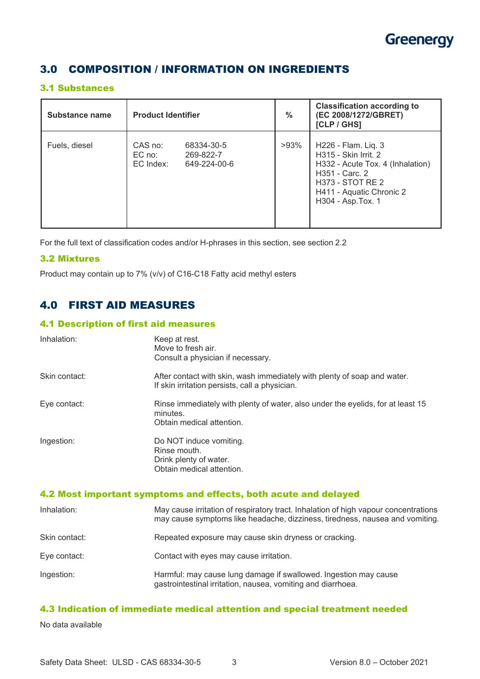

# 3.0 COMPOSITION / INFORMATION ON INGREDIENTS

## 3.1 Substances

| Substance name | <b>Product Identifier</b>                                                 | $\frac{0}{0}$ | <b>Classification according to</b><br>(EC 2008/1272/GBRET)<br>[CLP/GHS]                                                                                                        |
|----------------|---------------------------------------------------------------------------|---------------|--------------------------------------------------------------------------------------------------------------------------------------------------------------------------------|
| Fuels, diesel  | CAS no:<br>68334-30-5<br>EC no:<br>269-822-7<br>EC Index:<br>649-224-00-6 | $>93\%$       | H226 - Flam. Liq. 3<br>H315 - Skin Irrit. 2<br>H332 - Acute Tox. 4 (Inhalation)<br>H351 - Carc. 2<br><b>H373 - STOT RE 2</b><br>H411 - Aquatic Chronic 2<br>H304 - Asp. Tox. 1 |

For the full text of classification codes and/or H-phrases in this section, see section 2.2

## 3.2 Mixtures

Product may contain up to 7% (v/v) of C16-C18 Fatty acid methyl esters

# 4.0 FIRST AID MEASURES

## 4.1 Description of first aid measures

| Inhalation:   | Keep at rest.<br>Move to fresh air.<br>Consult a physician if necessary.                                                   |
|---------------|----------------------------------------------------------------------------------------------------------------------------|
| Skin contact: | After contact with skin, wash immediately with plenty of soap and water.<br>If skin irritation persists, call a physician. |
| Eye contact:  | Rinse immediately with plenty of water, also under the eyelids, for at least 15<br>minutes.<br>Obtain medical attention.   |
| Ingestion:    | Do NOT induce vomiting.<br>Rinse mouth.<br>Drink plenty of water.<br>Obtain medical attention.                             |

# 4.2 Most important symptoms and effects, both acute and delayed

| Inhalation:   | May cause irritation of respiratory tract. Inhalation of high vapour concentrations<br>may cause symptoms like headache, dizziness, tiredness, nausea and vomiting. |
|---------------|---------------------------------------------------------------------------------------------------------------------------------------------------------------------|
| Skin contact: | Repeated exposure may cause skin dryness or cracking.                                                                                                               |
| Eye contact:  | Contact with eyes may cause irritation.                                                                                                                             |
| Ingestion:    | Harmful: may cause lung damage if swallowed. Ingestion may cause<br>gastrointestinal irritation, nausea, vomiting and diarrhoea.                                    |

# 4.3 Indication of immediate medical attention and special treatment needed

No data available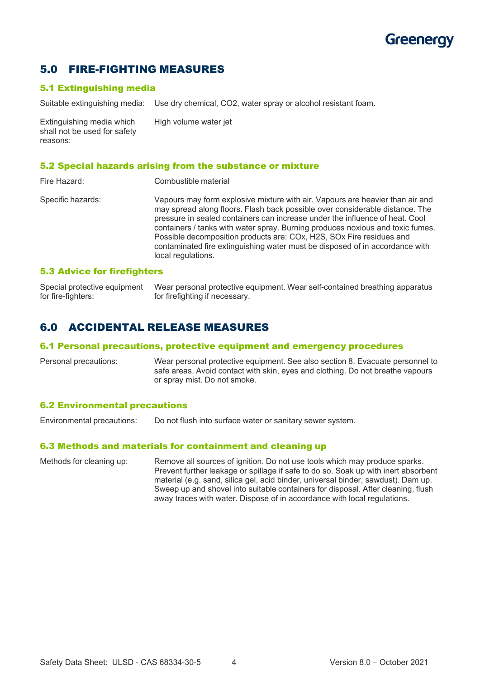# 5.0 FIRE-FIGHTING MEASURES

# 5.1 Extinguishing media

Suitable extinguishing media: Use dry chemical, CO2, water spray or alcohol resistant foam.

Extinguishing media which High volume water jet shall not be used for safety reasons:

### 5.2 Special hazards arising from the substance or mixture

| Fire Hazard:      | Combustible material                                                                                                                                                                                                                                                                                                                                                                                                                                                                                          |
|-------------------|---------------------------------------------------------------------------------------------------------------------------------------------------------------------------------------------------------------------------------------------------------------------------------------------------------------------------------------------------------------------------------------------------------------------------------------------------------------------------------------------------------------|
| Specific hazards: | Vapours may form explosive mixture with air. Vapours are heavier than air and<br>may spread along floors. Flash back possible over considerable distance. The<br>pressure in sealed containers can increase under the influence of heat. Cool<br>containers / tanks with water spray. Burning produces noxious and toxic fumes.<br>Possible decomposition products are: COx, H2S, SOx Fire residues and<br>contaminated fire extinguishing water must be disposed of in accordance with<br>local regulations. |
|                   |                                                                                                                                                                                                                                                                                                                                                                                                                                                                                                               |

### 5.3 Advice for firefighters

Special protective equipment Wear personal protective equipment. Wear self-contained breathing apparatus for fire-fighters: for firefighting if necessary.

# 6.0 ACCIDENTAL RELEASE MEASURES

#### 6.1 Personal precautions, protective equipment and emergency procedures

Personal precautions: Wear personal protective equipment. See also section 8. Evacuate personnel to safe areas. Avoid contact with skin, eyes and clothing. Do not breathe vapours or spray mist. Do not smoke.

#### 6.2 Environmental precautions

Environmental precautions: Do not flush into surface water or sanitary sewer system.

#### 6.3 Methods and materials for containment and cleaning up

Methods for cleaning up: Remove all sources of ignition. Do not use tools which may produce sparks. Prevent further leakage or spillage if safe to do so. Soak up with inert absorbent material (e.g. sand, silica gel, acid binder, universal binder, sawdust). Dam up. Sweep up and shovel into suitable containers for disposal. After cleaning, flush away traces with water. Dispose of in accordance with local regulations.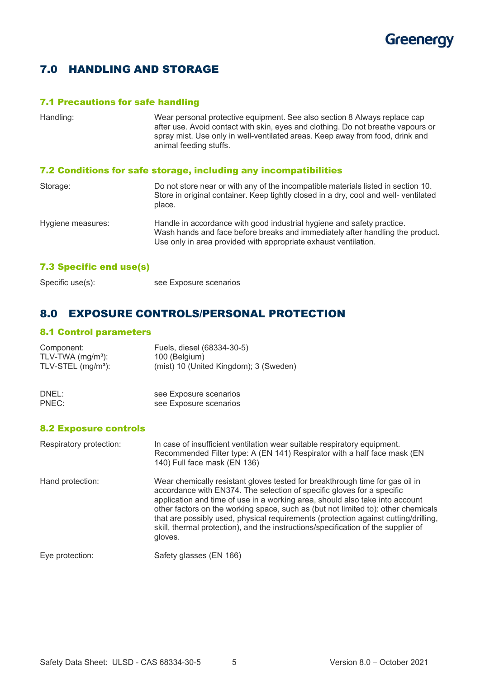

# 7.0 HANDLING AND STORAGE

# 7.1 Precautions for safe handling

| Handling:         | Wear personal protective equipment. See also section 8 Always replace cap<br>after use. Avoid contact with skin, eyes and clothing. Do not breathe vapours or<br>spray mist. Use only in well-ventilated areas. Keep away from food, drink and<br>animal feeding stuffs. |
|-------------------|--------------------------------------------------------------------------------------------------------------------------------------------------------------------------------------------------------------------------------------------------------------------------|
|                   | 7.2 Conditions for safe storage, including any incompatibilities                                                                                                                                                                                                         |
| Storage:          | Do not store near or with any of the incompatible materials listed in section 10.<br>Store in original container. Keep tightly closed in a dry, cool and well- ventilated<br>place.                                                                                      |
| Hygiene measures: | Handle in accordance with good industrial hygiene and safety practice.<br>Wash hands and face before breaks and immediately after handling the product.<br>Use only in area provided with appropriate exhaust ventilation.                                               |

# 7.3 Specific end use(s)

# 8.0 EXPOSURE CONTROLS/PERSONAL PROTECTION

see Exposure scenarios

# 8.1 Control parameters

| Component:                     | Fuels, diesel (68334-30-5)             |  |
|--------------------------------|----------------------------------------|--|
| TLV-TWA $(mg/m3)$ :            | 100 (Belgium)                          |  |
| TLV-STEL (mg/m <sup>3</sup> ): | (mist) 10 (United Kingdom); 3 (Sweden) |  |
| DNEL:                          | see Exposure scenarios                 |  |
| PNEC:                          | see Exposure scenarios                 |  |

#### 8.2 Exposure controls

| Respiratory protection: | In case of insufficient ventilation wear suitable respiratory equipment.<br>Recommended Filter type: A (EN 141) Respirator with a half face mask (EN<br>140) Full face mask (EN 136)                                                                                                                                                                                                                                                                                                                               |
|-------------------------|--------------------------------------------------------------------------------------------------------------------------------------------------------------------------------------------------------------------------------------------------------------------------------------------------------------------------------------------------------------------------------------------------------------------------------------------------------------------------------------------------------------------|
| Hand protection:        | Wear chemically resistant gloves tested for breakthrough time for gas oil in<br>accordance with EN374. The selection of specific gloves for a specific<br>application and time of use in a working area, should also take into account<br>other factors on the working space, such as (but not limited to): other chemicals<br>that are possibly used, physical requirements (protection against cutting/drilling,<br>skill, thermal protection), and the instructions/specification of the supplier of<br>gloves. |
| Eye protection:         | Safety glasses (EN 166)                                                                                                                                                                                                                                                                                                                                                                                                                                                                                            |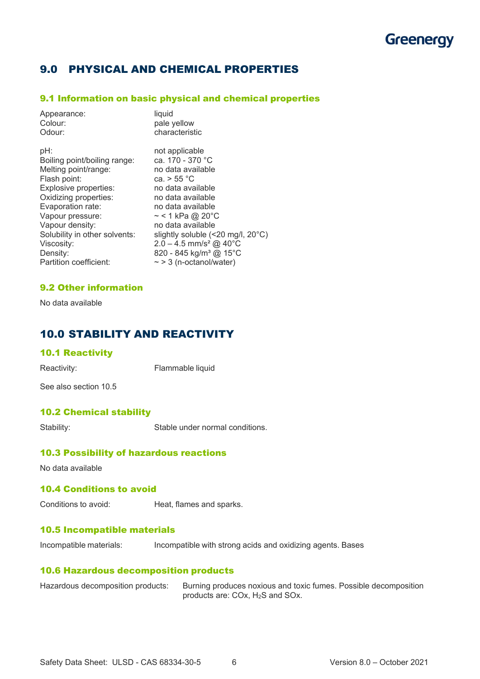# 9.0 PHYSICAL AND CHEMICAL PROPERTIES

## 9.1 Information on basic physical and chemical properties

| Appearance:                   | liquid                                      |
|-------------------------------|---------------------------------------------|
| Colour:                       | pale yellow                                 |
| Odour:                        | characteristic                              |
| pH:                           | not applicable                              |
| Boiling point/boiling range:  | ca. 170 - 370 °C                            |
| Melting point/range:          | no data available                           |
| Flash point:                  | ca. $> 55 °C$                               |
| Explosive properties:         | no data available                           |
| Oxidizing properties:         | no data available                           |
| Evaporation rate:             | no data available                           |
| Vapour pressure:              | $\sim$ < 1 kPa @ 20°C                       |
| Vapour density:               | no data available                           |
| Solubility in other solvents: | slightly soluble (<20 mg/l, $20^{\circ}$ C) |
| Viscosity:                    | $2.0 - 4.5$ mm/s <sup>2</sup> @ 40°C        |
| Density:                      | 820 - 845 kg/m <sup>3</sup> @ 15°C          |
| Partition coefficient:        | $\sim$ > 3 (n-octanol/water)                |

## 9.2 Other information

No data available

# 10.0 STABILITY AND REACTIVITY

#### 10.1 Reactivity

Reactivity: Flammable liquid

See also section 10.5

# 10.2 Chemical stability

Stability: Stable under normal conditions.

## 10.3 Possibility of hazardous reactions

No data available

# 10.4 Conditions to avoid

Conditions to avoid: Heat, flames and sparks.

#### 10.5 Incompatible materials

Incompatible materials: Incompatible with strong acids and oxidizing agents. Bases

## 10.6 Hazardous decomposition products

| Hazardous decomposition products: | Burning produces noxious and toxic fumes. Possible decomposition |
|-----------------------------------|------------------------------------------------------------------|
|                                   | products are: $COx$ , $H_2S$ and $SOx$ .                         |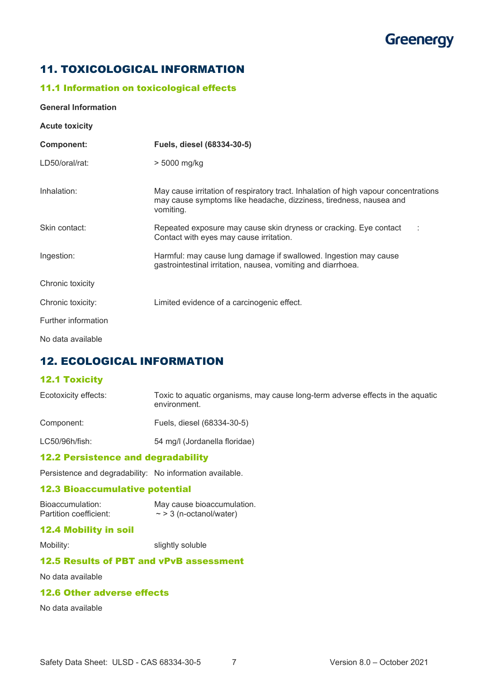# 11. TOXICOLOGICAL INFORMATION

# 11.1 Information on toxicological effects

#### **General Information**

| <b>Acute toxicity</b> |                                                                                                                                                                        |
|-----------------------|------------------------------------------------------------------------------------------------------------------------------------------------------------------------|
| <b>Component:</b>     | Fuels, diesel (68334-30-5)                                                                                                                                             |
| LD50/oral/rat:        | > 5000 mg/kg                                                                                                                                                           |
| Inhalation:           | May cause irritation of respiratory tract. Inhalation of high vapour concentrations<br>may cause symptoms like headache, dizziness, tiredness, nausea and<br>vomiting. |
| Skin contact:         | Repeated exposure may cause skin dryness or cracking. Eye contact<br>Contact with eyes may cause irritation.                                                           |
| Ingestion:            | Harmful: may cause lung damage if swallowed. Ingestion may cause<br>gastrointestinal irritation, nausea, vomiting and diarrhoea.                                       |
| Chronic toxicity      |                                                                                                                                                                        |
| Chronic toxicity:     | Limited evidence of a carcinogenic effect.                                                                                                                             |
| Further information   |                                                                                                                                                                        |
| No data available     |                                                                                                                                                                        |

# 12. ECOLOGICAL INFORMATION

# 12.1 Toxicity

| Ecotoxicity effects: | Toxic to aquatic organisms, may cause long-term adverse effects in the aquatic<br>environment. |
|----------------------|------------------------------------------------------------------------------------------------|
| Component:           | Fuels, diesel (68334-30-5)                                                                     |

LC50/96h/fish: 54 mg/l (Jordanella floridae)

## 12.2 Persistence and degradability

Persistence and degradability: No information available.

#### 12.3 Bioaccumulative potential

Bioaccumulation: May cause bioaccumulation.<br>Partition coefficient:  $\sim$  > 3 (n-octanol/water)  $\sim$  > 3 (n-octanol/water)

### 12.4 Mobility in soil

Mobility: slightly soluble

## 12.5 Results of PBT and vPvB assessment

No data available

### 12.6 Other adverse effects

No data available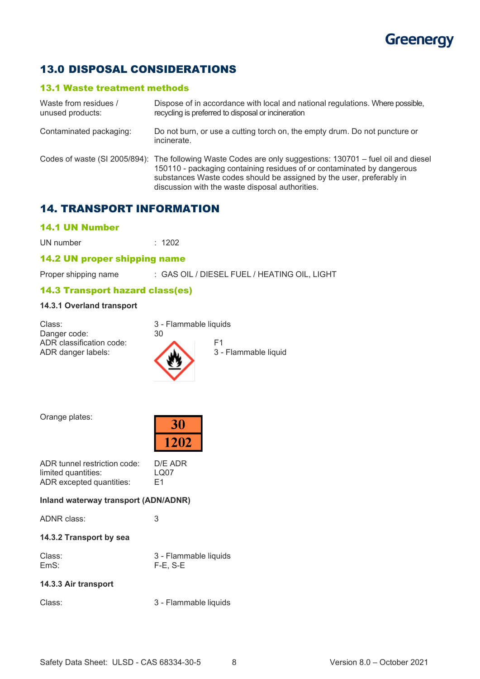# 13.0 DISPOSAL CONSIDERATIONS

## 13.1 Waste treatment methods

| Waste from residues /<br>unused products: | Dispose of in accordance with local and national regulations. Where possible,<br>recycling is preferred to disposal or incineration                                                                                                                                                                             |
|-------------------------------------------|-----------------------------------------------------------------------------------------------------------------------------------------------------------------------------------------------------------------------------------------------------------------------------------------------------------------|
| Contaminated packaging:                   | Do not burn, or use a cutting torch on, the empty drum. Do not puncture or<br>incinerate.                                                                                                                                                                                                                       |
|                                           | Codes of waste (SI 2005/894): The following Waste Codes are only suggestions: 130701 - fuel oil and diesel<br>150110 - packaging containing residues of or contaminated by dangerous<br>substances Waste codes should be assigned by the user, preferably in<br>discussion with the waste disposal authorities. |

# 14. TRANSPORT INFORMATION

## 14.1 UN Number

UN number : 1202

## 14.2 UN proper shipping name

Proper shipping name : GAS OIL / DIESEL FUEL / HEATING OIL, LIGHT

## 14.3 Transport hazard class(es)

## **14.3.1 Overland transport**

| Class:                                         | 3 - Flammable liquids |                            |
|------------------------------------------------|-----------------------|----------------------------|
| Danger code:                                   | 30                    |                            |
| ADR classification code:<br>ADR danger labels: |                       | E1<br>3 - Flammable liquid |

Orange plates:

| Kip |  |
|-----|--|
| 202 |  |

| ADR tunnel restriction code: | D/E ADR        |
|------------------------------|----------------|
| limited quantities:          | LQ07           |
| ADR excepted quantities:     | F <sub>1</sub> |

### **Inland waterway transport (ADN/ADNR)**

| ADNR class: |  |
|-------------|--|
|-------------|--|

# **14.3.2 Transport by sea**

| Class: | 3 - Flammable liquids |
|--------|-----------------------|
| EmS:   | F-E, S-E              |

## **14.3.3 Air transport**

Class: 3 - Flammable liquids